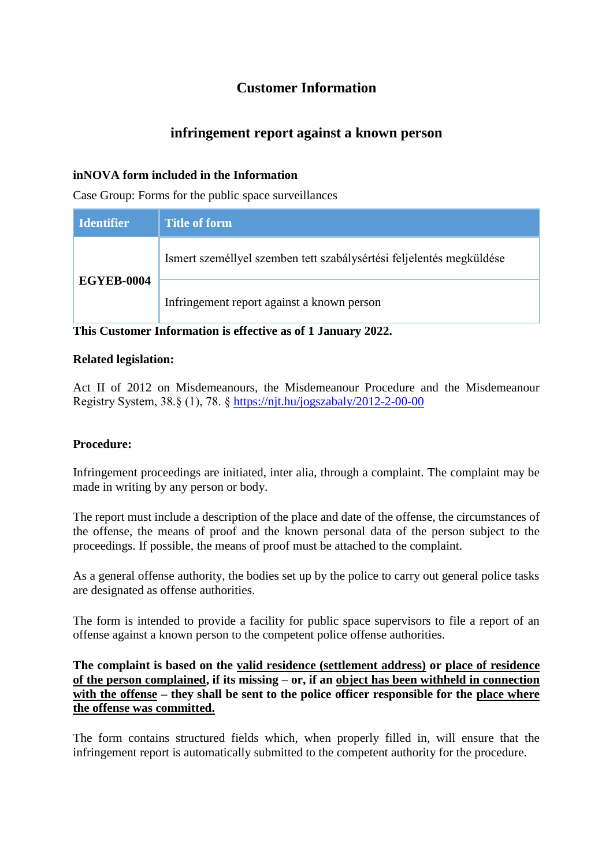# **Customer Information**

## **infringement report against a known person**

### **inNOVA form included in the Information**

Case Group: Forms for the public space surveillances

| <b>Identifier</b> | Title of form                                                        |
|-------------------|----------------------------------------------------------------------|
| <b>EGYEB-0004</b> | Ismert személlyel szemben tett szabálysértési feljelentés megküldése |
|                   | Infringement report against a known person                           |

**This Customer Information is effective as of 1 January 2022.**

#### **Related legislation:**

Act II of 2012 on Misdemeanours, the Misdemeanour Procedure and the Misdemeanour Registry System, 38.§ (1), 78. § <https://njt.hu/jogszabaly/2012-2-00-00>

### **Procedure:**

Infringement proceedings are initiated, inter alia, through a complaint. The complaint may be made in writing by any person or body.

The report must include a description of the place and date of the offense, the circumstances of the offense, the means of proof and the known personal data of the person subject to the proceedings. If possible, the means of proof must be attached to the complaint.

As a general offense authority, the bodies set up by the police to carry out general police tasks are designated as offense authorities.

The form is intended to provide a facility for public space supervisors to file a report of an offense against a known person to the competent police offense authorities.

**The complaint is based on the valid residence (settlement address) or place of residence of the person complained, if its missing – or, if an object has been withheld in connection with the offense – they shall be sent to the police officer responsible for the place where the offense was committed.**

The form contains structured fields which, when properly filled in, will ensure that the infringement report is automatically submitted to the competent authority for the procedure.